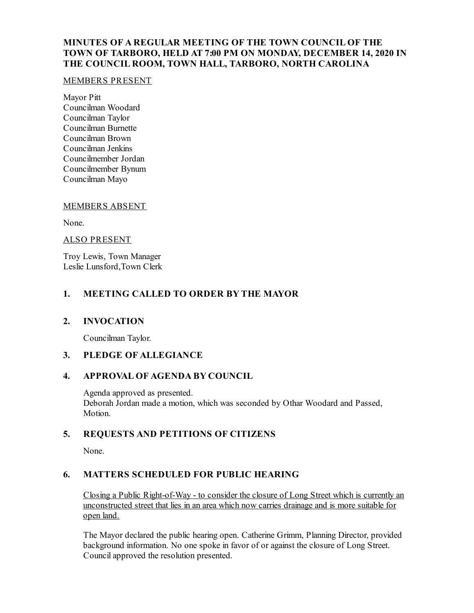# **MINUTES OF A REGULAR MEETING OF THE TOWN COUNCIL OF THE TOWN OF TARBORO, HELD AT 7:00 PM ON MONDAY, DECEMBER 14, 2020 IN THE COUNCIL ROOM, TOWN HALL, TARBORO, NORTH CAROLINA**

#### MEMBERS PRESENT

Mayor Pitt Councilman Woodard Councilman Taylor Councilman Burnette Councilman Brown Councilman Jenkins Councilmember Jordan Councilmember Bynum Councilman Mayo

## MEMBERS ABSENT

None.

#### ALSO PRESENT

Troy Lewis, Town Manager Leslie Lunsford,Town Clerk

# **1. MEETING CALLED TO ORDER BY THE MAYOR**

## **2. INVOCATION**

Councilman Taylor.

# **3. PLEDGE OF ALLEGIANCE**

## **4. APPROVAL OF AGENDA BY COUNCIL**

Agenda approved as presented. Deborah Jordan made a motion, which was seconded by Othar Woodard and Passed, Motion.

## **5. REQUESTS AND PETITIONS OF CITIZENS**

None.

## **6. MATTERS SCHEDULED FOR PUBLIC HEARING**

Closing a Public Right-of-Way - to consider the closure of Long Street which is currently an unconstructed street that lies in an area which now carries drainage and is more suitable for open land.

The Mayor declared the public hearing open. Catherine Grimm, Planning Director, provided background information. No one spoke in favor of or against the closure of Long Street. Councilapproved the resolution presented.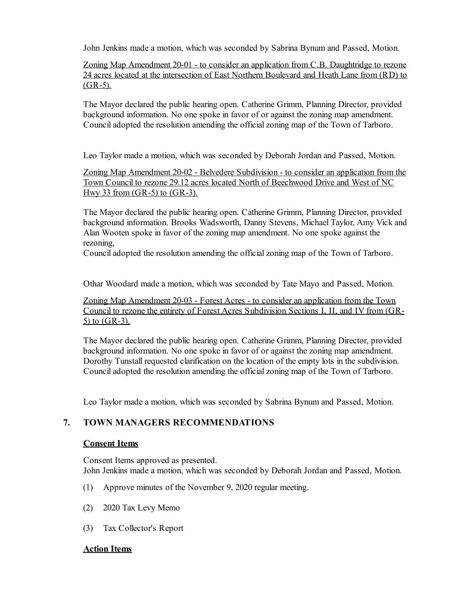John Jenkins made a motion, which was seconded by Sabrina Bynum and Passed, Motion.

Zoning Map Amendment 20-01 - to consider an application from C.B. Daughtridge to rezone 24 acres located at the intersection of East Northern Boulevard and Heath Lane from (RD) to  $(GR-5)$ .

The Mayor declared the public hearing open. Catherine Grimm, Planning Director, provided background information. No one spoke in favor of or against the zoning map amendment. Counciladopted the resolution amending the officialzoning map of the Town of Tarboro.

Leo Taylor made a motion, which was seconded by Deborah Jordan and Passed, Motion.

Zoning Map Amendment 20-02 - Belvedere Subdivision - to consider an application from the Town Council to rezone 29.12 acres located North of Beechwood Drive and West of NC Hwy 33 from  $(GR-5)$  to  $(GR-3)$ .

The Mayor declared the public hearing open. Catherine Grimm, Planning Director, provided background information. Brooks Wadsworth, Danny Stevens, Michael Taylor, Amy Vick and Alan Wooten spoke in favor of the zoning map amendment. No one spoke against the rezoning,

Counciladopted the resolution amending the officialzoning map of the Town of Tarboro.

Othar Woodard made a motion, which was seconded by Tate Mayo and Passed, Motion.

Zoning Map Amendment 20-03 - Forest Acres - to consider an application from the Town Council to rezone the entirety of Forest Acres Subdivision Sections I, II, and IV from (GR-5) to (GR-3).

The Mayor declared the public hearing open. Catherine Grimm, Planning Director, provided background information. No one spoke in favor of or against the zoning map amendment. Dorothy Tunstall requested clarification on the location of the empty lots in the subdivision. Counciladopted the resolution amending the officialzoning map of the Town of Tarboro.

Leo Taylor made a motion, which was seconded by Sabrina Bynum and Passed, Motion.

## **7. TOWN MANAGERS RECOMMENDATIONS**

#### **Consent Items**

Consent Items approved as presented. John Jenkins made a motion, which was seconded by Deborah Jordan and Passed, Motion.

- (1) Approve minutes of the November 9, 2020 regular meeting.
- (2) 2020 Tax Levy Memo
- (3) Tax Collector's Report

## **Action Items**